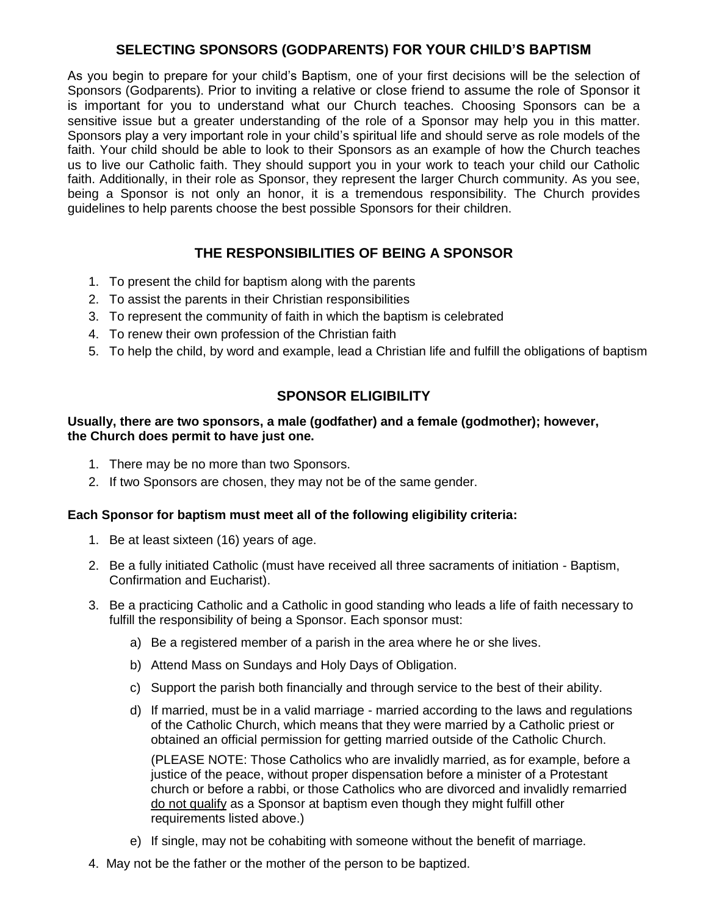# **SELECTING SPONSORS (GODPARENTS) FOR YOUR CHILD'S BAPTISM**

As you begin to prepare for your child's Baptism, one of your first decisions will be the selection of Sponsors (Godparents). Prior to inviting a relative or close friend to assume the role of Sponsor it is important for you to understand what our Church teaches. Choosing Sponsors can be a sensitive issue but a greater understanding of the role of a Sponsor may help you in this matter. Sponsors play a very important role in your child's spiritual life and should serve as role models of the faith. Your child should be able to look to their Sponsors as an example of how the Church teaches us to live our Catholic faith. They should support you in your work to teach your child our Catholic faith. Additionally, in their role as Sponsor, they represent the larger Church community. As you see, being a Sponsor is not only an honor, it is a tremendous responsibility. The Church provides guidelines to help parents choose the best possible Sponsors for their children.

# **THE RESPONSIBILITIES OF BEING A SPONSOR**

- 1. To present the child for baptism along with the parents
- 2. To assist the parents in their Christian responsibilities
- 3. To represent the community of faith in which the baptism is celebrated
- 4. To renew their own profession of the Christian faith
- 5. To help the child, by word and example, lead a Christian life and fulfill the obligations of baptism

# **SPONSOR ELIGIBILITY**

### **Usually, there are two sponsors, a male (godfather) and a female (godmother); however, the Church does permit to have just one.**

- 1. There may be no more than two Sponsors.
- 2. If two Sponsors are chosen, they may not be of the same gender.

### **Each Sponsor for baptism must meet all of the following eligibility criteria:**

- 1. Be at least sixteen (16) years of age.
- 2. Be a fully initiated Catholic (must have received all three sacraments of initiation Baptism, Confirmation and Eucharist).
- 3. Be a practicing Catholic and a Catholic in good standing who leads a life of faith necessary to fulfill the responsibility of being a Sponsor. Each sponsor must:
	- a) Be a registered member of a parish in the area where he or she lives.
	- b) Attend Mass on Sundays and Holy Days of Obligation.
	- c) Support the parish both financially and through service to the best of their ability.
	- d) If married, must be in a valid marriage married according to the laws and regulations of the Catholic Church, which means that they were married by a Catholic priest or obtained an official permission for getting married outside of the Catholic Church.

(PLEASE NOTE: Those Catholics who are invalidly married, as for example, before a justice of the peace, without proper dispensation before a minister of a Protestant church or before a rabbi, or those Catholics who are divorced and invalidly remarried do not qualify as a Sponsor at baptism even though they might fulfill other requirements listed above.)

- e) If single, may not be cohabiting with someone without the benefit of marriage.
- 4. May not be the father or the mother of the person to be baptized.